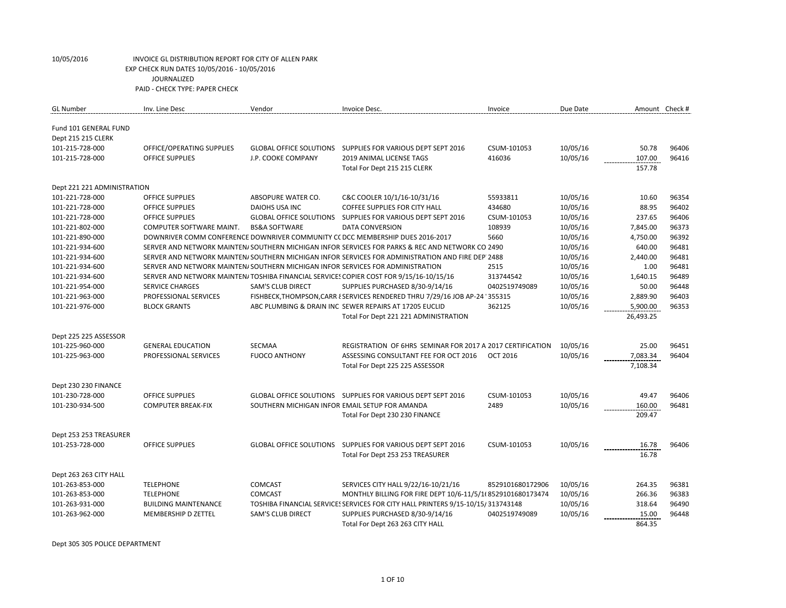| <b>GL</b> Number                            | Inv. Line Desc                                                                 | Vendor                                         | Invoice Desc.                                                                                    | Invoice          | Due Date | Amount Check # |       |
|---------------------------------------------|--------------------------------------------------------------------------------|------------------------------------------------|--------------------------------------------------------------------------------------------------|------------------|----------|----------------|-------|
| Fund 101 GENERAL FUND<br>Dept 215 215 CLERK |                                                                                |                                                |                                                                                                  |                  |          |                |       |
| 101-215-728-000                             | OFFICE/OPERATING SUPPLIES                                                      |                                                | GLOBAL OFFICE SOLUTIONS SUPPLIES FOR VARIOUS DEPT SEPT 2016                                      | CSUM-101053      | 10/05/16 | 50.78          | 96406 |
| 101-215-728-000                             | <b>OFFICE SUPPLIES</b>                                                         | J.P. COOKE COMPANY                             | 2019 ANIMAL LICENSE TAGS                                                                         | 416036           | 10/05/16 | 107.00         | 96416 |
|                                             |                                                                                |                                                | Total For Dept 215 215 CLERK                                                                     |                  |          | 157.78         |       |
| Dept 221 221 ADMINISTRATION                 |                                                                                |                                                |                                                                                                  |                  |          |                |       |
| 101-221-728-000                             | <b>OFFICE SUPPLIES</b>                                                         | ABSOPURE WATER CO.                             | C&C COOLER 10/1/16-10/31/16                                                                      | 55933811         | 10/05/16 | 10.60          | 96354 |
| 101-221-728-000                             | <b>OFFICE SUPPLIES</b>                                                         | DAIOHS USA INC                                 | <b>COFFEE SUPPLIES FOR CITY HALL</b>                                                             | 434680           | 10/05/16 | 88.95          | 96402 |
| 101-221-728-000                             | <b>OFFICE SUPPLIES</b>                                                         | <b>GLOBAL OFFICE SOLUTIONS</b>                 | SUPPLIES FOR VARIOUS DEPT SEPT 2016                                                              | CSUM-101053      | 10/05/16 | 237.65         | 96406 |
| 101-221-802-000                             | COMPUTER SOFTWARE MAINT.                                                       | <b>BS&amp;A SOFTWARE</b>                       | DATA CONVERSION                                                                                  | 108939           | 10/05/16 | 7,845.00       | 96373 |
| 101-221-890-000                             |                                                                                |                                                | DOWNRIVER COMM CONFERENCE DOWNRIVER COMMUNITY CC DCC MEMBERSHIP DUES 2016-2017                   | 5660             | 10/05/16 | 4,750.00       | 96392 |
| 101-221-934-600                             |                                                                                |                                                | SERVER AND NETWORK MAINTEN/SOUTHERN MICHIGAN INFOR SERVICES FOR PARKS & REC AND NETWORK CO 2490  |                  | 10/05/16 | 640.00         | 96481 |
| 101-221-934-600                             |                                                                                |                                                | SERVER AND NETWORK MAINTEN/SOUTHERN MICHIGAN INFOR SERVICES FOR ADMINISTRATION AND FIRE DEP 2488 |                  | 10/05/16 | 2,440.00       | 96481 |
| 101-221-934-600                             | SERVER AND NETWORK MAINTEN/SOUTHERN MICHIGAN INFOR SERVICES FOR ADMINISTRATION |                                                |                                                                                                  | 2515             | 10/05/16 | 1.00           | 96481 |
| 101-221-934-600                             |                                                                                |                                                | SERVER AND NETWORK MAINTEN/ TOSHIBA FINANCIAL SERVICES COPIER COST FOR 9/15/16-10/15/16          | 313744542        | 10/05/16 | 1,640.15       | 96489 |
| 101-221-954-000                             | <b>SERVICE CHARGES</b>                                                         | SAM'S CLUB DIRECT                              | SUPPLIES PURCHASED 8/30-9/14/16                                                                  | 0402519749089    | 10/05/16 | 50.00          | 96448 |
| 101-221-963-000                             | PROFESSIONAL SERVICES                                                          |                                                | FISHBECK, THOMPSON, CARR { SERVICES RENDERED THRU 7/29/16 JOB AP-24 ' 355315                     |                  | 10/05/16 | 2,889.90       | 96403 |
| 101-221-976-000                             | <b>BLOCK GRANTS</b>                                                            |                                                | ABC PLUMBING & DRAIN INC SEWER REPAIRS AT 17205 EUCLID                                           | 362125           | 10/05/16 | 5,900.00       | 96353 |
|                                             |                                                                                |                                                | Total For Dept 221 221 ADMINISTRATION                                                            |                  |          | 26,493.25      |       |
| Dept 225 225 ASSESSOR                       |                                                                                |                                                |                                                                                                  |                  |          |                |       |
| 101-225-960-000                             | <b>GENERAL EDUCATION</b>                                                       | <b>SECMAA</b>                                  | REGISTRATION OF 6HRS SEMINAR FOR 2017 A 2017 CERTIFICATION                                       |                  | 10/05/16 | 25.00          | 96451 |
| 101-225-963-000                             | PROFESSIONAL SERVICES                                                          | <b>FUOCO ANTHONY</b>                           | ASSESSING CONSULTANT FEE FOR OCT 2016                                                            | <b>OCT 2016</b>  | 10/05/16 | 7,083.34       | 96404 |
|                                             |                                                                                |                                                | Total For Dept 225 225 ASSESSOR                                                                  |                  |          | 7,108.34       |       |
| Dept 230 230 FINANCE                        |                                                                                |                                                |                                                                                                  |                  |          |                |       |
| 101-230-728-000                             | <b>OFFICE SUPPLIES</b>                                                         |                                                | GLOBAL OFFICE SOLUTIONS  SUPPLIES FOR VARIOUS DEPT SEPT 2016                                     | CSUM-101053      | 10/05/16 | 49.47          | 96406 |
| 101-230-934-500                             | <b>COMPUTER BREAK-FIX</b>                                                      | SOUTHERN MICHIGAN INFOR EMAIL SETUP FOR AMANDA |                                                                                                  | 2489             | 10/05/16 | 160.00         | 96481 |
|                                             |                                                                                |                                                | Total For Dept 230 230 FINANCE                                                                   |                  |          | 209.47         |       |
| Dept 253 253 TREASURER                      |                                                                                |                                                |                                                                                                  |                  |          |                |       |
| 101-253-728-000                             | <b>OFFICE SUPPLIES</b>                                                         | <b>GLOBAL OFFICE SOLUTIONS</b>                 | SUPPLIES FOR VARIOUS DEPT SEPT 2016                                                              | CSUM-101053      | 10/05/16 | 16.78          | 96406 |
|                                             |                                                                                |                                                | Total For Dept 253 253 TREASURER                                                                 |                  |          | 16.78          |       |
| Dept 263 263 CITY HALL                      |                                                                                |                                                |                                                                                                  |                  |          |                |       |
| 101-263-853-000                             | <b>TELEPHONE</b>                                                               | <b>COMCAST</b>                                 | SERVICES CITY HALL 9/22/16-10/21/16                                                              | 8529101680172906 | 10/05/16 | 264.35         | 96381 |
| 101-263-853-000                             | <b>TELEPHONE</b>                                                               | COMCAST                                        | MONTHLY BILLING FOR FIRE DEPT 10/6-11/5/1(8529101680173474                                       |                  | 10/05/16 | 266.36         | 96383 |
| 101-263-931-000                             | <b>BUILDING MAINTENANCE</b>                                                    |                                                | TOSHIBA FINANCIAL SERVICES SERVICES FOR CITY HALL PRINTERS 9/15-10/15/313743148                  |                  | 10/05/16 | 318.64         | 96490 |
| 101-263-962-000                             | MEMBERSHIP D ZETTEL                                                            | SAM'S CLUB DIRECT                              | SUPPLIES PURCHASED 8/30-9/14/16                                                                  | 0402519749089    | 10/05/16 | 15.00          | 96448 |
|                                             |                                                                                |                                                | Total For Dept 263 263 CITY HALL                                                                 |                  |          | 864.35         |       |

Dept 305 305 POLICE DEPARTMENT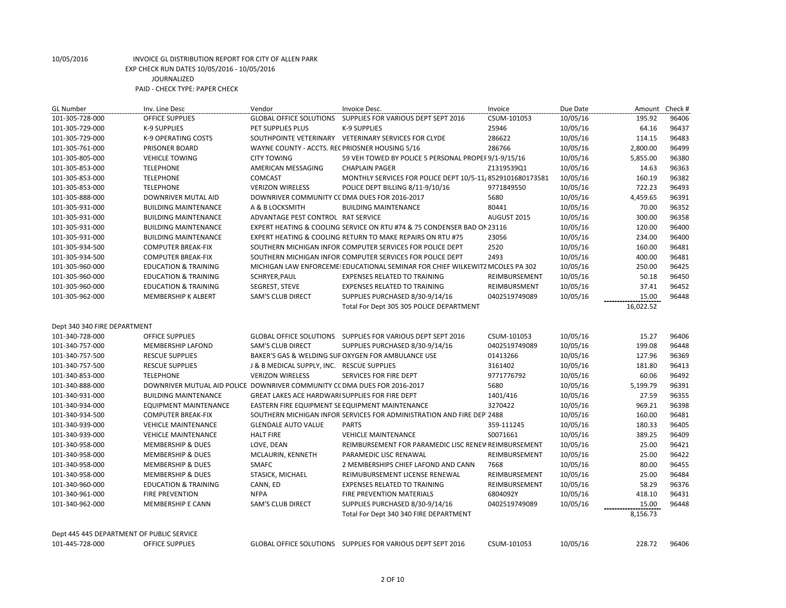| <b>GL Number</b>                          | Inv. Line Desc                                                            | Vendor                                          | Invoice Desc.                                                                | Invoice       | Due Date | Amount    | Check # |
|-------------------------------------------|---------------------------------------------------------------------------|-------------------------------------------------|------------------------------------------------------------------------------|---------------|----------|-----------|---------|
| 101-305-728-000                           | <b>OFFICE SUPPLIES</b>                                                    | <b>GLOBAL OFFICE SOLUTIONS</b>                  | SUPPLIES FOR VARIOUS DEPT SEPT 2016                                          | CSUM-101053   | 10/05/16 | 195.92    | 96406   |
| 101-305-729-000                           | K-9 SUPPLIES                                                              | PET SUPPLIES PLUS                               | K-9 SUPPLIES                                                                 | 25946         | 10/05/16 | 64.16     | 96437   |
| 101-305-729-000                           | K-9 OPERATING COSTS                                                       |                                                 | SOUTHPOINTE VETERINARY VETERINARY SERVICES FOR CLYDE                         | 286622        | 10/05/16 | 114.15    | 96483   |
| 101-305-761-000                           | PRISONER BOARD                                                            | WAYNE COUNTY - ACCTS. REC PRIOSNER HOUSING 5/16 |                                                                              | 286766        | 10/05/16 | 2,800.00  | 96499   |
| 101-305-805-000                           | <b>VEHICLE TOWING</b>                                                     | <b>CITY TOWING</b>                              | 59 VEH TOWED BY POLICE 5 PERSONAL PROPEF 9/1-9/15/16                         |               | 10/05/16 | 5,855.00  | 96380   |
| 101-305-853-000                           | <b>TELEPHONE</b>                                                          | AMERICAN MESSAGING                              | <b>CHAPLAIN PAGER</b>                                                        | Z1319539Q1    | 10/05/16 | 14.63     | 96363   |
| 101-305-853-000                           | <b>TELEPHONE</b>                                                          | COMCAST                                         | MONTHLY SERVICES FOR POLICE DEPT 10/5-11, 8529101680173581                   |               | 10/05/16 | 160.19    | 96382   |
| 101-305-853-000                           | <b>TELEPHONE</b>                                                          | <b>VERIZON WIRELESS</b>                         | POLICE DEPT BILLING 8/11-9/10/16                                             | 9771849550    | 10/05/16 | 722.23    | 96493   |
| 101-305-888-000                           | DOWNRIVER MUTAL AID                                                       | DOWNRIVER COMMUNITY CC DMA DUES FOR 2016-2017   |                                                                              | 5680          | 10/05/16 | 4,459.65  | 96391   |
| 101-305-931-000                           | <b>BUILDING MAINTENANCE</b>                                               | A & B LOCKSMITH                                 | <b>BUILDING MAINTENANCE</b>                                                  | 80441         | 10/05/16 | 70.00     | 96352   |
| 101-305-931-000                           | <b>BUILDING MAINTENANCE</b>                                               | ADVANTAGE PEST CONTROL RAT SERVICE              |                                                                              | AUGUST 2015   | 10/05/16 | 300.00    | 96358   |
| 101-305-931-000                           | <b>BUILDING MAINTENANCE</b>                                               |                                                 | EXPERT HEATING & COOLING SERVICE ON RTU #74 & 75 CONDENSER BAD ON 23116      |               | 10/05/16 | 120.00    | 96400   |
| 101-305-931-000                           | <b>BUILDING MAINTENANCE</b>                                               |                                                 | EXPERT HEATING & COOLING RETURN TO MAKE REPAIRS ON RTU #75                   | 23056         | 10/05/16 | 234.00    | 96400   |
| 101-305-934-500                           | <b>COMPUTER BREAK-FIX</b>                                                 |                                                 | SOUTHERN MICHIGAN INFOR COMPUTER SERVICES FOR POLICE DEPT                    | 2520          | 10/05/16 | 160.00    | 96481   |
| 101-305-934-500                           | <b>COMPUTER BREAK-FIX</b>                                                 |                                                 | SOUTHERN MICHIGAN INFOR COMPUTER SERVICES FOR POLICE DEPT                    | 2493          | 10/05/16 | 400.00    | 96481   |
| 101-305-960-000                           | <b>EDUCATION &amp; TRAINING</b>                                           |                                                 | MICHIGAN LAW ENFORCEME EDUCATIONAL SEMINAR FOR CHIEF WILKEWITZ MCOLES PA 302 |               | 10/05/16 | 250.00    | 96425   |
| 101-305-960-000                           | <b>EDUCATION &amp; TRAINING</b>                                           | SCHRYER, PAUL                                   | <b>EXPENSES RELATED TO TRAINING</b>                                          | REIMBURSEMENT | 10/05/16 | 50.18     | 96450   |
| 101-305-960-000                           | <b>EDUCATION &amp; TRAINING</b>                                           | SEGREST, STEVE                                  | <b>EXPENSES RELATED TO TRAINING</b>                                          | REIMBURSMENT  | 10/05/16 | 37.41     | 96452   |
| 101-305-962-000                           | MEMBERSHIP K ALBERT                                                       | SAM'S CLUB DIRECT                               | SUPPLIES PURCHASED 8/30-9/14/16                                              | 0402519749089 | 10/05/16 | 15.00     | 96448   |
|                                           |                                                                           |                                                 | Total For Dept 305 305 POLICE DEPARTMENT                                     |               |          | 16,022.52 |         |
|                                           |                                                                           |                                                 |                                                                              |               |          |           |         |
| Dept 340 340 FIRE DEPARTMENT              |                                                                           |                                                 |                                                                              |               |          |           |         |
| 101-340-728-000                           | <b>OFFICE SUPPLIES</b>                                                    |                                                 | GLOBAL OFFICE SOLUTIONS SUPPLIES FOR VARIOUS DEPT SEPT 2016                  | CSUM-101053   | 10/05/16 | 15.27     | 96406   |
| 101-340-757-000                           | MEMBERSHIP LAFOND                                                         | SAM'S CLUB DIRECT                               | SUPPLIES PURCHASED 8/30-9/14/16                                              | 0402519749089 | 10/05/16 | 199.08    | 96448   |
| 101-340-757-500                           | <b>RESCUE SUPPLIES</b>                                                    |                                                 | BAKER'S GAS & WELDING SUF OXYGEN FOR AMBULANCE USE                           | 01413266      | 10/05/16 | 127.96    | 96369   |
| 101-340-757-500                           | <b>RESCUE SUPPLIES</b>                                                    | J & B MEDICAL SUPPLY, INC. RESCUE SUPPLIES      |                                                                              | 3161402       | 10/05/16 | 181.80    | 96413   |
| 101-340-853-000                           | <b>TELEPHONE</b>                                                          | <b>VERIZON WIRELESS</b>                         | SERVICES FOR FIRE DEPT                                                       | 9771776792    | 10/05/16 | 60.06     | 96492   |
| 101-340-888-000                           | DOWNRIVER MUTUAL AID POLICE DOWNRIVER COMMUNITY CC DMA DUES FOR 2016-2017 |                                                 |                                                                              | 5680          | 10/05/16 | 5,199.79  | 96391   |
| 101-340-931-000                           | <b>BUILDING MAINTENANCE</b>                                               | GREAT LAKES ACE HARDWARI SUPPLIES FOR FIRE DEPT |                                                                              | 1401/416      | 10/05/16 | 27.59     | 96355   |
| 101-340-934-000                           | <b>EQUIPMENT MAINTENANCE</b>                                              | EASTERN FIRE EQUIPMENT SE EQUIPMENT MAINTENANCE |                                                                              | 3270422       | 10/05/16 | 969.21    | 96398   |
| 101-340-934-500                           | <b>COMPUTER BREAK-FIX</b>                                                 |                                                 | SOUTHERN MICHIGAN INFOR SERVICES FOR ADMINISTRATION AND FIRE DEP 2488        |               | 10/05/16 | 160.00    | 96481   |
| 101-340-939-000                           | <b>VEHICLE MAINTENANCE</b>                                                | <b>GLENDALE AUTO VALUE</b>                      | <b>PARTS</b>                                                                 | 359-111245    | 10/05/16 | 180.33    | 96405   |
| 101-340-939-000                           | <b>VEHICLE MAINTENANCE</b>                                                | <b>HALT FIRE</b>                                | <b>VEHICLE MAINTENANCE</b>                                                   | S0071661      | 10/05/16 | 389.25    | 96409   |
| 101-340-958-000                           | <b>MEMBERSHIP &amp; DUES</b>                                              | LOVE, DEAN                                      | REIMBURSEMENT FOR PARAMEDIC LISC RENEV REIMBURSEMENT                         |               | 10/05/16 | 25.00     | 96421   |
| 101-340-958-000                           | <b>MEMBERSHIP &amp; DUES</b>                                              | MCLAURIN, KENNETH                               | PARAMEDIC LISC RENAWAL                                                       | REIMBURSEMENT | 10/05/16 | 25.00     | 96422   |
| 101-340-958-000                           | <b>MEMBERSHIP &amp; DUES</b>                                              | <b>SMAFC</b>                                    | 2 MEMBERSHIPS CHIEF LAFOND AND CANN                                          | 7668          | 10/05/16 | 80.00     | 96455   |
| 101-340-958-000                           | <b>MEMBERSHIP &amp; DUES</b>                                              | STASICK, MICHAEL                                | REIMUBURSEMENT LICENSE RENEWAL                                               | REIMBURSEMENT | 10/05/16 | 25.00     | 96484   |
| 101-340-960-000                           | <b>EDUCATION &amp; TRAINING</b>                                           | CANN, ED                                        | <b>EXPENSES RELATED TO TRAINING</b>                                          | REIMBURSEMENT | 10/05/16 | 58.29     | 96376   |
| 101-340-961-000                           | <b>FIRE PREVENTION</b>                                                    | <b>NFPA</b>                                     | <b>FIRE PREVENTION MATERIALS</b>                                             | 6804092Y      | 10/05/16 | 418.10    | 96431   |
| 101-340-962-000                           | MEMBERSHIP E CANN                                                         | <b>SAM'S CLUB DIRECT</b>                        | SUPPLIES PURCHASED 8/30-9/14/16                                              | 0402519749089 | 10/05/16 | 15.00     | 96448   |
|                                           |                                                                           |                                                 | Total For Dept 340 340 FIRE DEPARTMENT                                       |               |          | 8,156.73  |         |
|                                           |                                                                           |                                                 |                                                                              |               |          |           |         |
| Dept 445 445 DEPARTMENT OF PUBLIC SERVICE |                                                                           |                                                 |                                                                              |               |          |           |         |
| 101-445-728-000                           | <b>OFFICE SUPPLIES</b>                                                    |                                                 | GLOBAL OFFICE SOLUTIONS SUPPLIES FOR VARIOUS DEPT SEPT 2016                  | CSUM-101053   | 10/05/16 | 228.72    | 96406   |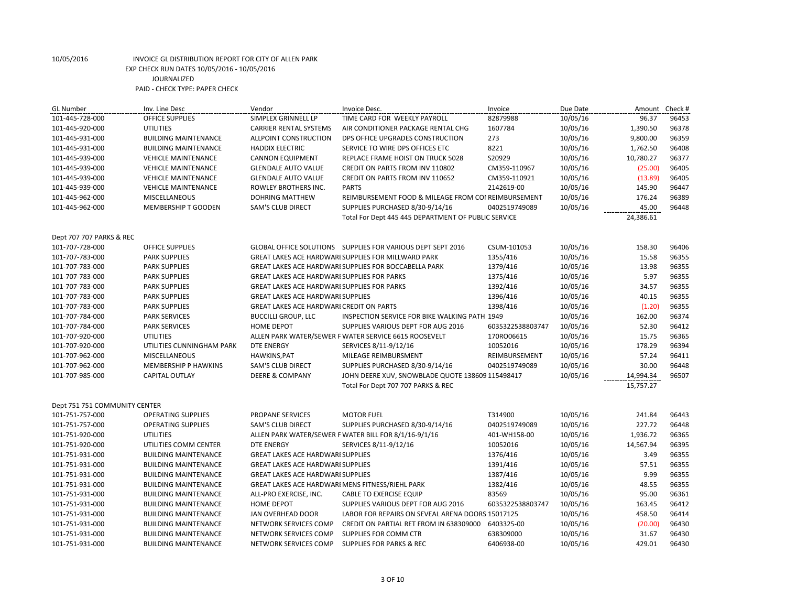| <b>GL Number</b>              | Inv. Line Desc              | Vendor                                             | Invoice Desc.                                               | Invoice          | Due Date | Amount    | Check # |
|-------------------------------|-----------------------------|----------------------------------------------------|-------------------------------------------------------------|------------------|----------|-----------|---------|
| 101-445-728-000               | <b>OFFICE SUPPLIES</b>      | SIMPLEX GRINNELL LP                                | TIME CARD FOR WEEKLY PAYROLL                                | 82879988         | 10/05/16 | 96.37     | 96453   |
| 101-445-920-000               | <b>UTILITIES</b>            | <b>CARRIER RENTAL SYSTEMS</b>                      | AIR CONDITIONER PACKAGE RENTAL CHG                          | 1607784          | 10/05/16 | 1,390.50  | 96378   |
| 101-445-931-000               | <b>BUILDING MAINTENANCE</b> | ALLPOINT CONSTRUCTION                              | DPS OFFICE UPGRADES CONSTRUCTION                            | 273              | 10/05/16 | 9,800.00  | 96359   |
| 101-445-931-000               | <b>BUILDING MAINTENANCE</b> | <b>HADDIX ELECTRIC</b>                             | SERVICE TO WIRE DPS OFFICES ETC                             | 8221             | 10/05/16 | 1,762.50  | 96408   |
| 101-445-939-000               | <b>VEHICLE MAINTENANCE</b>  | <b>CANNON EQUIPMENT</b>                            | REPLACE FRAME HOIST ON TRUCK 5028                           | S20929           | 10/05/16 | 10,780.27 | 96377   |
| 101-445-939-000               | <b>VEHICLE MAINTENANCE</b>  | <b>GLENDALE AUTO VALUE</b>                         | <b>CREDIT ON PARTS FROM INV 110802</b>                      | CM359-110967     | 10/05/16 | (25.00)   | 96405   |
| 101-445-939-000               | <b>VEHICLE MAINTENANCE</b>  | <b>GLENDALE AUTO VALUE</b>                         | CREDIT ON PARTS FROM INV 110652                             | CM359-110921     | 10/05/16 | (13.89)   | 96405   |
| 101-445-939-000               | <b>VEHICLE MAINTENANCE</b>  | ROWLEY BROTHERS INC.                               | <b>PARTS</b>                                                | 2142619-00       | 10/05/16 | 145.90    | 96447   |
| 101-445-962-000               | <b>MISCELLANEOUS</b>        | <b>DOHRING MATTHEW</b>                             | REIMBURSEMENT FOOD & MILEAGE FROM COI REIMBURSEMENT         |                  | 10/05/16 | 176.24    | 96389   |
| 101-445-962-000               | <b>MEMBERSHIP T GOODEN</b>  | SAM'S CLUB DIRECT                                  | SUPPLIES PURCHASED 8/30-9/14/16                             | 0402519749089    | 10/05/16 | 45.00     | 96448   |
|                               |                             |                                                    | Total For Dept 445 445 DEPARTMENT OF PUBLIC SERVICE         |                  |          | 24,386.61 |         |
| Dept 707 707 PARKS & REC      |                             |                                                    |                                                             |                  |          |           |         |
| 101-707-728-000               | <b>OFFICE SUPPLIES</b>      |                                                    | GLOBAL OFFICE SOLUTIONS SUPPLIES FOR VARIOUS DEPT SEPT 2016 | CSUM-101053      | 10/05/16 | 158.30    | 96406   |
| 101-707-783-000               | <b>PARK SUPPLIES</b>        |                                                    | GREAT LAKES ACE HARDWARI SUPPLIES FOR MILLWARD PARK         | 1355/416         | 10/05/16 | 15.58     | 96355   |
| 101-707-783-000               | <b>PARK SUPPLIES</b>        |                                                    | GREAT LAKES ACE HARDWARI SUPPLIES FOR BOCCABELLA PARK       | 1379/416         | 10/05/16 | 13.98     | 96355   |
| 101-707-783-000               | <b>PARK SUPPLIES</b>        | <b>GREAT LAKES ACE HARDWARI SUPPLIES FOR PARKS</b> |                                                             | 1375/416         | 10/05/16 | 5.97      | 96355   |
| 101-707-783-000               | <b>PARK SUPPLIES</b>        | <b>GREAT LAKES ACE HARDWARI SUPPLIES FOR PARKS</b> |                                                             | 1392/416         | 10/05/16 | 34.57     | 96355   |
| 101-707-783-000               | <b>PARK SUPPLIES</b>        | <b>GREAT LAKES ACE HARDWARI SUPPLIES</b>           |                                                             | 1396/416         | 10/05/16 | 40.15     | 96355   |
| 101-707-783-000               | <b>PARK SUPPLIES</b>        | <b>GREAT LAKES ACE HARDWARI CREDIT ON PARTS</b>    |                                                             | 1398/416         | 10/05/16 | (1.20)    | 96355   |
| 101-707-784-000               | <b>PARK SERVICES</b>        | <b>BUCCILLI GROUP, LLC</b>                         | INSPECTION SERVICE FOR BIKE WALKING PATH 1949               |                  | 10/05/16 | 162.00    | 96374   |
| 101-707-784-000               | <b>PARK SERVICES</b>        | HOME DEPOT                                         | SUPPLIES VARIOUS DEPT FOR AUG 2016                          | 6035322538803747 | 10/05/16 | 52.30     | 96412   |
| 101-707-920-000               | <b>UTILITIES</b>            |                                                    | ALLEN PARK WATER/SEWER F WATER SERVICE 6615 ROOSEVELT       | 170RO06615       | 10/05/16 | 15.75     | 96365   |
| 101-707-920-000               | UTILITIES CUNNINGHAM PARK   | <b>DTE ENERGY</b>                                  | SERVICES 8/11-9/12/16                                       | 10052016         | 10/05/16 | 178.29    | 96394   |
| 101-707-962-000               | <b>MISCELLANEOUS</b>        | HAWKINS, PAT                                       | MILEAGE REIMBURSMENT                                        | REIMBURSEMENT    | 10/05/16 | 57.24     | 96411   |
| 101-707-962-000               | <b>MEMBERSHIP P HAWKINS</b> | SAM'S CLUB DIRECT                                  | SUPPLIES PURCHASED 8/30-9/14/16                             | 0402519749089    | 10/05/16 | 30.00     | 96448   |
| 101-707-985-000               | <b>CAPITAL OUTLAY</b>       | <b>DEERE &amp; COMPANY</b>                         | JOHN DEERE XUV, SNOWBLADE QUOTE 138609 115498417            |                  | 10/05/16 | 14,994.34 | 96507   |
|                               |                             |                                                    | Total For Dept 707 707 PARKS & REC                          |                  |          | 15,757.27 |         |
| Dept 751 751 COMMUNITY CENTER |                             |                                                    |                                                             |                  |          |           |         |
| 101-751-757-000               | <b>OPERATING SUPPLIES</b>   | PROPANE SERVICES                                   | <b>MOTOR FUEL</b>                                           | T314900          | 10/05/16 | 241.84    | 96443   |
| 101-751-757-000               | <b>OPERATING SUPPLIES</b>   | <b>SAM'S CLUB DIRECT</b>                           | SUPPLIES PURCHASED 8/30-9/14/16                             | 0402519749089    | 10/05/16 | 227.72    | 96448   |
| 101-751-920-000               | <b>UTILITIES</b>            |                                                    | ALLEN PARK WATER/SEWER F WATER BILL FOR 8/1/16-9/1/16       | 401-WH158-00     | 10/05/16 | 1,936.72  | 96365   |
| 101-751-920-000               | UTILITIES COMM CENTER       | <b>DTE ENERGY</b>                                  | SERVICES 8/11-9/12/16                                       | 10052016         | 10/05/16 | 14,567.94 | 96395   |
| 101-751-931-000               | <b>BUILDING MAINTENANCE</b> | <b>GREAT LAKES ACE HARDWARI SUPPLIES</b>           |                                                             | 1376/416         | 10/05/16 | 3.49      | 96355   |
| 101-751-931-000               | <b>BUILDING MAINTENANCE</b> | GREAT LAKES ACE HARDWARI SUPPLIES                  |                                                             | 1391/416         | 10/05/16 | 57.51     | 96355   |
| 101-751-931-000               | <b>BUILDING MAINTENANCE</b> | <b>GREAT LAKES ACE HARDWARI SUPPLIES</b>           |                                                             | 1387/416         | 10/05/16 | 9.99      | 96355   |
| 101-751-931-000               | <b>BUILDING MAINTENANCE</b> | GREAT LAKES ACE HARDWARI MENS FITNESS/RIEHL PARK   |                                                             | 1382/416         | 10/05/16 | 48.55     | 96355   |
| 101-751-931-000               | <b>BUILDING MAINTENANCE</b> | ALL-PRO EXERCISE, INC.                             | <b>CABLE TO EXERCISE EQUIP</b>                              | 83569            | 10/05/16 | 95.00     | 96361   |
| 101-751-931-000               | <b>BUILDING MAINTENANCE</b> | <b>HOME DEPOT</b>                                  | SUPPLIES VARIOUS DEPT FOR AUG 2016                          | 6035322538803747 | 10/05/16 | 163.45    | 96412   |
| 101-751-931-000               | <b>BUILDING MAINTENANCE</b> | JAN OVERHEAD DOOR                                  | LABOR FOR REPAIRS ON SEVEAL ARENA DOORS 15017125            |                  | 10/05/16 | 458.50    | 96414   |
| 101-751-931-000               | <b>BUILDING MAINTENANCE</b> | NETWORK SERVICES COMP                              | CREDIT ON PARTIAL RET FROM IN 638309000                     | 6403325-00       | 10/05/16 | (20.00)   | 96430   |
| 101-751-931-000               | <b>BUILDING MAINTENANCE</b> | NETWORK SERVICES COMP                              | SUPPLIES FOR COMM CTR                                       | 638309000        | 10/05/16 | 31.67     | 96430   |
| 101-751-931-000               | <b>BUILDING MAINTENANCE</b> | NETWORK SERVICES COMP                              | <b>SUPPLIES FOR PARKS &amp; REC</b>                         | 6406938-00       | 10/05/16 | 429.01    | 96430   |
|                               |                             |                                                    |                                                             |                  |          |           |         |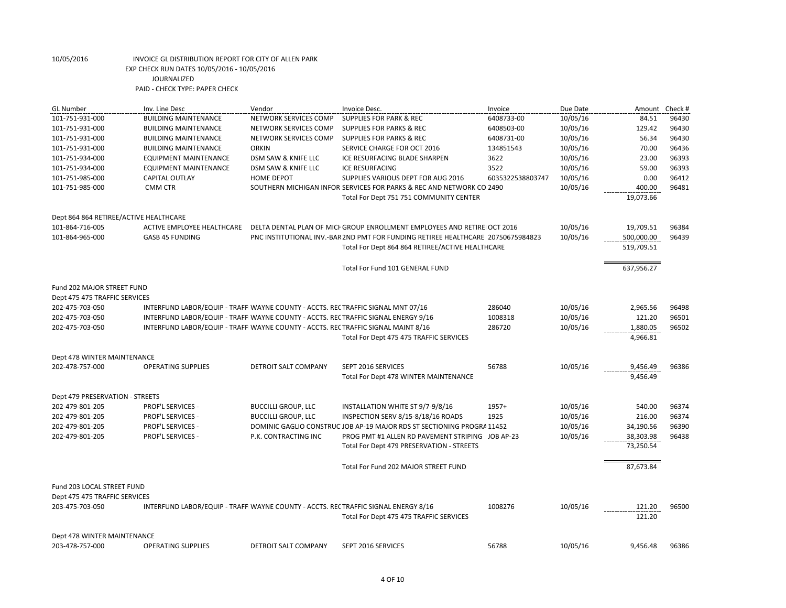| <b>GL Number</b>                       | Inv. Line Desc                                                                     | Vendor                      | Invoice Desc.                                                                    | Invoice          | Due Date | Amount           | Check # |
|----------------------------------------|------------------------------------------------------------------------------------|-----------------------------|----------------------------------------------------------------------------------|------------------|----------|------------------|---------|
| 101-751-931-000                        | <b>BUILDING MAINTENANCE</b>                                                        | NETWORK SERVICES COMP       | <b>SUPPLIES FOR PARK &amp; REC</b>                                               | 6408733-00       | 10/05/16 | 84.51            | 96430   |
| 101-751-931-000                        | <b>BUILDING MAINTENANCE</b>                                                        | NETWORK SERVICES COMP       | <b>SUPPLIES FOR PARKS &amp; REC</b>                                              | 6408503-00       | 10/05/16 | 129.42           | 96430   |
| 101-751-931-000                        | <b>BUILDING MAINTENANCE</b>                                                        | NETWORK SERVICES COMP       | <b>SUPPLIES FOR PARKS &amp; REC</b>                                              | 6408731-00       | 10/05/16 | 56.34            | 96430   |
| 101-751-931-000                        | <b>BUILDING MAINTENANCE</b>                                                        | <b>ORKIN</b>                | SERVICE CHARGE FOR OCT 2016                                                      | 134851543        | 10/05/16 | 70.00            | 96436   |
| 101-751-934-000                        | <b>EQUIPMENT MAINTENANCE</b>                                                       | DSM SAW & KNIFE LLC         | ICE RESURFACING BLADE SHARPEN                                                    | 3622             | 10/05/16 | 23.00            | 96393   |
| 101-751-934-000                        | <b>EQUIPMENT MAINTENANCE</b>                                                       | DSM SAW & KNIFE LLC         | <b>ICE RESURFACING</b>                                                           | 3522             | 10/05/16 | 59.00            | 96393   |
| 101-751-985-000                        | <b>CAPITAL OUTLAY</b>                                                              | <b>HOME DEPOT</b>           | SUPPLIES VARIOUS DEPT FOR AUG 2016                                               | 6035322538803747 | 10/05/16 | 0.00             | 96412   |
| 101-751-985-000                        | CMM CTR                                                                            |                             | SOUTHERN MICHIGAN INFOR SERVICES FOR PARKS & REC AND NETWORK CO 2490             |                  | 10/05/16 | 400.00           | 96481   |
|                                        |                                                                                    |                             | Total For Dept 751 751 COMMUNITY CENTER                                          |                  |          | 19,073.66        |         |
|                                        |                                                                                    |                             |                                                                                  |                  |          |                  |         |
| Dept 864 864 RETIREE/ACTIVE HEALTHCARE |                                                                                    |                             |                                                                                  |                  |          |                  |         |
| 101-864-716-005                        | ACTIVE EMPLOYEE HEALTHCARE                                                         |                             | DELTA DENTAL PLAN OF MICH GROUP ENROLLMENT EMPLOYEES AND RETIRE OCT 2016         |                  | 10/05/16 | 19,709.51        | 96384   |
| 101-864-965-000                        | GASB 45 FUNDING                                                                    |                             | PNC INSTITUTIONAL INV.-BAR 2ND PMT FOR FUNDING RETIREE HEALTHCARE 20750675984823 |                  | 10/05/16 | 500,000.00       | 96439   |
|                                        |                                                                                    |                             | Total For Dept 864 864 RETIREE/ACTIVE HEALTHCARE                                 |                  |          | 519,709.51       |         |
|                                        |                                                                                    |                             |                                                                                  |                  |          |                  |         |
|                                        |                                                                                    |                             | Total For Fund 101 GENERAL FUND                                                  |                  |          | 637,956.27       |         |
|                                        |                                                                                    |                             |                                                                                  |                  |          |                  |         |
| Fund 202 MAJOR STREET FUND             |                                                                                    |                             |                                                                                  |                  |          |                  |         |
| Dept 475 475 TRAFFIC SERVICES          |                                                                                    |                             |                                                                                  |                  |          |                  |         |
| 202-475-703-050                        | INTERFUND LABOR/EQUIP - TRAFFI WAYNE COUNTY - ACCTS. RECTRAFFIC SIGNAL MNT 07/16   |                             |                                                                                  | 286040           | 10/05/16 | 2,965.56         | 96498   |
| 202-475-703-050                        | INTERFUND LABOR/EQUIP - TRAFFI WAYNE COUNTY - ACCTS. RECTRAFFIC SIGNAL ENERGY 9/16 |                             |                                                                                  | 1008318          | 10/05/16 | 121.20           | 96501   |
| 202-475-703-050                        | INTERFUND LABOR/EQUIP - TRAFFI WAYNE COUNTY - ACCTS. RECTRAFFIC SIGNAL MAINT 8/16  |                             |                                                                                  | 286720           | 10/05/16 | 1,880.05         | 96502   |
|                                        |                                                                                    |                             | Total For Dept 475 475 TRAFFIC SERVICES                                          |                  |          | 4,966.81         |         |
|                                        |                                                                                    |                             |                                                                                  |                  |          |                  |         |
| Dept 478 WINTER MAINTENANCE            |                                                                                    |                             |                                                                                  |                  |          |                  |         |
| 202-478-757-000                        | <b>OPERATING SUPPLIES</b>                                                          | <b>DETROIT SALT COMPANY</b> | SEPT 2016 SERVICES                                                               | 56788            | 10/05/16 | 9,456.49         | 96386   |
|                                        |                                                                                    |                             | Total For Dept 478 WINTER MAINTENANCE                                            |                  |          | 9,456.49         |         |
|                                        |                                                                                    |                             |                                                                                  |                  |          |                  |         |
| Dept 479 PRESERVATION - STREETS        |                                                                                    |                             |                                                                                  |                  |          |                  |         |
| 202-479-801-205                        | PROF'L SERVICES -                                                                  | <b>BUCCILLI GROUP, LLC</b>  | INSTALLATION WHITE ST 9/7-9/8/16                                                 | 1957+            | 10/05/16 | 540.00           | 96374   |
| 202-479-801-205                        | <b>PROF'L SERVICES -</b>                                                           | <b>BUCCILLI GROUP, LLC</b>  | INSPECTION SERV 8/15-8/18/16 ROADS                                               | 1925             | 10/05/16 | 216.00           | 96374   |
| 202-479-801-205                        | <b>PROF'L SERVICES -</b>                                                           |                             | DOMINIC GAGLIO CONSTRUC JOB AP-19 MAJOR RDS ST SECTIONING PROGRA 11452           |                  | 10/05/16 | 34,190.56        | 96390   |
| 202-479-801-205                        | PROF'L SERVICES -                                                                  | P.K. CONTRACTING INC        | PROG PMT #1 ALLEN RD PAVEMENT STRIPING JOB AP-23                                 |                  | 10/05/16 | 38,303.98        | 96438   |
|                                        |                                                                                    |                             | Total For Dept 479 PRESERVATION - STREETS                                        |                  |          | 73,250.54        |         |
|                                        |                                                                                    |                             |                                                                                  |                  |          |                  |         |
|                                        |                                                                                    |                             |                                                                                  |                  |          |                  |         |
|                                        |                                                                                    |                             | Total For Fund 202 MAJOR STREET FUND                                             |                  |          | 87,673.84        |         |
|                                        |                                                                                    |                             |                                                                                  |                  |          |                  |         |
| Fund 203 LOCAL STREET FUND             |                                                                                    |                             |                                                                                  |                  |          |                  |         |
| Dept 475 475 TRAFFIC SERVICES          |                                                                                    |                             |                                                                                  |                  |          |                  |         |
| 203-475-703-050                        | INTERFUND LABOR/EQUIP - TRAFFI WAYNE COUNTY - ACCTS. RECTRAFFIC SIGNAL ENERGY 8/16 |                             |                                                                                  | 1008276          | 10/05/16 | 121.20<br>121.20 | 96500   |
|                                        |                                                                                    |                             | Total For Dept 475 475 TRAFFIC SERVICES                                          |                  |          |                  |         |
|                                        |                                                                                    |                             |                                                                                  |                  |          |                  |         |
| Dept 478 WINTER MAINTENANCE            |                                                                                    |                             |                                                                                  |                  |          |                  |         |
| 203-478-757-000                        | <b>OPERATING SUPPLIES</b>                                                          | <b>DETROIT SALT COMPANY</b> | SEPT 2016 SERVICES                                                               | 56788            | 10/05/16 | 9,456.48         | 96386   |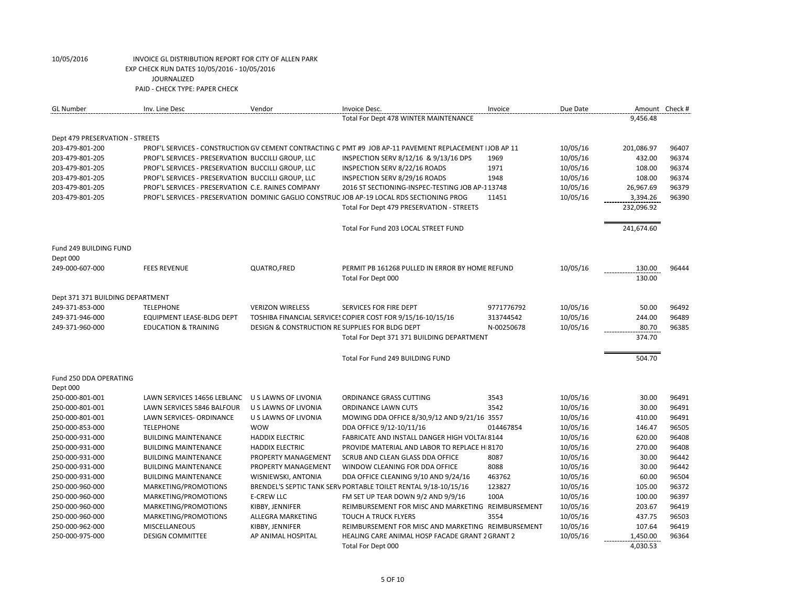| <b>GL Number</b>                 | Inv. Line Desc                                     | Vendor                                          | Invoice Desc.                                                                                            | Invoice    | Due Date | Amount Check #   |       |
|----------------------------------|----------------------------------------------------|-------------------------------------------------|----------------------------------------------------------------------------------------------------------|------------|----------|------------------|-------|
|                                  |                                                    |                                                 | Total For Dept 478 WINTER MAINTENANCE                                                                    |            |          | 9,456.48         |       |
| Dept 479 PRESERVATION - STREETS  |                                                    |                                                 |                                                                                                          |            |          |                  |       |
| 203-479-801-200                  |                                                    |                                                 | PROF'L SERVICES - CONSTRUCTION GV CEMENT CONTRACTING C PMT #9 JOB AP-11 PAVEMENT REPLACEMENT   JOB AP 11 |            | 10/05/16 | 201,086.97       | 96407 |
| 203-479-801-205                  | PROF'L SERVICES - PRESERVATION BUCCILLI GROUP, LLC |                                                 | INSPECTION SERV 8/12/16 & 9/13/16 DPS                                                                    | 1969       | 10/05/16 | 432.00           | 96374 |
| 203-479-801-205                  | PROF'L SERVICES - PRESERVATION BUCCILLI GROUP, LLC |                                                 | INSPECTION SERV 8/22/16 ROADS                                                                            | 1971       | 10/05/16 | 108.00           | 96374 |
| 203-479-801-205                  | PROF'L SERVICES - PRESERVATION BUCCILLI GROUP, LLC |                                                 | INSPECTION SERV 8/29/16 ROADS                                                                            | 1948       | 10/05/16 | 108.00           | 96374 |
| 203-479-801-205                  | PROF'L SERVICES - PRESERVATION C.E. RAINES COMPANY |                                                 | 2016 ST SECTIONING-INSPEC-TESTING JOB AP-113748                                                          |            | 10/05/16 | 26,967.69        | 96379 |
| 203-479-801-205                  |                                                    |                                                 | PROF'L SERVICES - PRESERVATION DOMINIC GAGLIO CONSTRUC JOB AP-19 LOCAL RDS SECTIONING PROG               | 11451      | 10/05/16 | 3,394.26         | 96390 |
|                                  |                                                    |                                                 | Total For Dept 479 PRESERVATION - STREETS                                                                |            |          | 232,096.92       |       |
|                                  |                                                    |                                                 | Total For Fund 203 LOCAL STREET FUND                                                                     |            |          | 241,674.60       |       |
| Fund 249 BUILDING FUND           |                                                    |                                                 |                                                                                                          |            |          |                  |       |
| Dept 000                         |                                                    |                                                 |                                                                                                          |            |          |                  |       |
| 249-000-607-000                  | <b>FEES REVENUE</b>                                | QUATRO, FRED                                    | PERMIT PB 161268 PULLED IN ERROR BY HOME REFUND<br>Total For Dept 000                                    |            | 10/05/16 | 130.00<br>130.00 | 96444 |
| Dept 371 371 BUILDING DEPARTMENT |                                                    |                                                 |                                                                                                          |            |          |                  |       |
| 249-371-853-000                  | <b>TELEPHONE</b>                                   | <b>VERIZON WIRELESS</b>                         | SERVICES FOR FIRE DEPT                                                                                   | 9771776792 | 10/05/16 | 50.00            | 96492 |
| 249-371-946-000                  | EQUIPMENT LEASE-BLDG DEPT                          |                                                 | TOSHIBA FINANCIAL SERVICES COPIER COST FOR 9/15/16-10/15/16                                              | 313744542  | 10/05/16 | 244.00           | 96489 |
| 249-371-960-000                  | <b>EDUCATION &amp; TRAINING</b>                    | DESIGN & CONSTRUCTION RE SUPPLIES FOR BLDG DEPT |                                                                                                          | N-00250678 | 10/05/16 | 80.70            | 96385 |
|                                  |                                                    |                                                 | Total For Dept 371 371 BUILDING DEPARTMENT                                                               |            |          | 374.70           |       |
|                                  |                                                    |                                                 | Total For Fund 249 BUILDING FUND                                                                         |            |          | 504.70           |       |
| Fund 250 DDA OPERATING           |                                                    |                                                 |                                                                                                          |            |          |                  |       |
| Dept 000                         |                                                    |                                                 |                                                                                                          |            |          |                  |       |
| 250-000-801-001                  | LAWN SERVICES 14656 LEBLANC                        | U S LAWNS OF LIVONIA                            | ORDINANCE GRASS CUTTING                                                                                  | 3543       | 10/05/16 | 30.00            | 96491 |
| 250-000-801-001                  | LAWN SERVICES 5846 BALFOUR                         | U S LAWNS OF LIVONIA                            | ORDINANCE LAWN CUTS                                                                                      | 3542       | 10/05/16 | 30.00            | 96491 |
| 250-000-801-001                  | LAWN SERVICES- ORDINANCE                           | U S LAWNS OF LIVONIA                            | MOWING DDA OFFICE 8/30,9/12 AND 9/21/16 3557                                                             |            | 10/05/16 | 410.00           | 96491 |
| 250-000-853-000                  | <b>TELEPHONE</b>                                   | <b>WOW</b>                                      | DDA OFFICE 9/12-10/11/16                                                                                 | 014467854  | 10/05/16 | 146.47           | 96505 |
| 250-000-931-000                  | <b>BUILDING MAINTENANCE</b>                        | <b>HADDIX ELECTRIC</b>                          | FABRICATE AND INSTALL DANGER HIGH VOLTA(8144                                                             |            | 10/05/16 | 620.00           | 96408 |
| 250-000-931-000                  | <b>BUILDING MAINTENANCE</b>                        | <b>HADDIX ELECTRIC</b>                          | PROVIDE MATERIAL AND LABOR TO REPLACE H 8170                                                             |            | 10/05/16 | 270.00           | 96408 |
| 250-000-931-000                  | <b>BUILDING MAINTENANCE</b>                        | PROPERTY MANAGEMENT                             | SCRUB AND CLEAN GLASS DDA OFFICE                                                                         | 8087       | 10/05/16 | 30.00            | 96442 |
| 250-000-931-000                  | <b>BUILDING MAINTENANCE</b>                        | PROPERTY MANAGEMENT                             | WINDOW CLEANING FOR DDA OFFICE                                                                           | 8088       | 10/05/16 | 30.00            | 96442 |
| 250-000-931-000                  | <b>BUILDING MAINTENANCE</b>                        | WISNIEWSKI, ANTONIA                             | DDA OFFICE CLEANING 9/10 AND 9/24/16                                                                     | 463762     | 10/05/16 | 60.00            | 96504 |
| 250-000-960-000                  | MARKETING/PROMOTIONS                               |                                                 | BRENDEL'S SEPTIC TANK SERV PORTABLE TOILET RENTAL 9/18-10/15/16                                          | 123827     | 10/05/16 | 105.00           | 96372 |
| 250-000-960-000                  | MARKETING/PROMOTIONS                               | <b>E-CREW LLC</b>                               | FM SET UP TEAR DOWN 9/2 AND 9/9/16                                                                       | 100A       | 10/05/16 | 100.00           | 96397 |
| 250-000-960-000                  | MARKETING/PROMOTIONS                               | KIBBY, JENNIFER                                 | REIMBURSEMENT FOR MISC AND MARKETING REIMBURSEMENT                                                       |            | 10/05/16 | 203.67           | 96419 |
| 250-000-960-000                  | MARKETING/PROMOTIONS                               | ALLEGRA MARKETING                               | TOUCH A TRUCK FLYERS                                                                                     | 3554       | 10/05/16 | 437.75           | 96503 |
| 250-000-962-000                  | <b>MISCELLANEOUS</b>                               | KIBBY, JENNIFER                                 | REIMBURSEMENT FOR MISC AND MARKETING REIMBURSEMENT                                                       |            | 10/05/16 | 107.64           | 96419 |
| 250-000-975-000                  | <b>DESIGN COMMITTEE</b>                            | AP ANIMAL HOSPITAL                              | HEALING CARE ANIMAL HOSP FACADE GRANT 2 GRANT 2                                                          |            | 10/05/16 | 1,450.00         | 96364 |
|                                  |                                                    |                                                 | Total For Dept 000                                                                                       |            |          | 4,030.53         |       |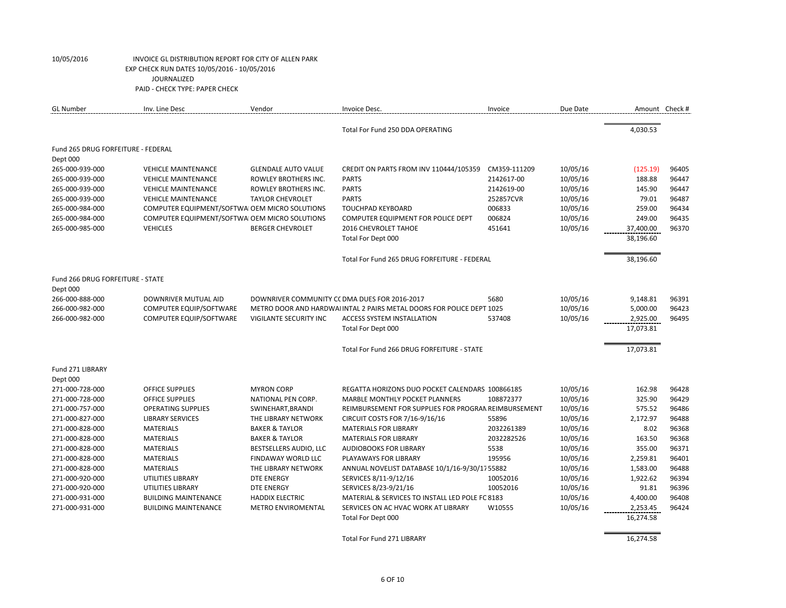| <b>GL Number</b>                   | Inv. Line Desc                                 | Vendor                     | Invoice Desc.                                                         | Invoice      | Due Date |           | Amount Check # |
|------------------------------------|------------------------------------------------|----------------------------|-----------------------------------------------------------------------|--------------|----------|-----------|----------------|
|                                    |                                                |                            | Total For Fund 250 DDA OPERATING                                      |              |          | 4,030.53  |                |
| Fund 265 DRUG FORFEITURE - FEDERAL |                                                |                            |                                                                       |              |          |           |                |
| Dept 000                           |                                                |                            |                                                                       |              |          |           |                |
| 265-000-939-000                    | <b>VEHICLE MAINTENANCE</b>                     | <b>GLENDALE AUTO VALUE</b> | CREDIT ON PARTS FROM INV 110444/105359                                | CM359-111209 | 10/05/16 | (125.19)  | 96405          |
| 265-000-939-000                    | <b>VEHICLE MAINTENANCE</b>                     | ROWLEY BROTHERS INC.       | <b>PARTS</b>                                                          | 2142617-00   | 10/05/16 | 188.88    | 96447          |
| 265-000-939-000                    | <b>VEHICLE MAINTENANCE</b>                     | ROWLEY BROTHERS INC.       | <b>PARTS</b>                                                          | 2142619-00   | 10/05/16 | 145.90    | 96447          |
| 265-000-939-000                    | <b>VEHICLE MAINTENANCE</b>                     | <b>TAYLOR CHEVROLET</b>    | <b>PARTS</b>                                                          | 252857CVR    | 10/05/16 | 79.01     | 96487          |
| 265-000-984-000                    | COMPUTER EQUIPMENT/SOFTWAI OEM MICRO SOLUTIONS |                            | <b>TOUCHPAD KEYBOARD</b>                                              | 006833       | 10/05/16 | 259.00    | 96434          |
| 265-000-984-000                    | COMPUTER EQUIPMENT/SOFTWAI OEM MICRO SOLUTIONS |                            | COMPUTER EQUIPMENT FOR POLICE DEPT                                    | 006824       | 10/05/16 | 249.00    | 96435          |
| 265-000-985-000                    | <b>VEHICLES</b>                                | <b>BERGER CHEVROLET</b>    | 2016 CHEVROLET TAHOE                                                  | 451641       | 10/05/16 | 37,400.00 | 96370          |
|                                    |                                                |                            | Total For Dept 000                                                    |              |          | 38,196.60 |                |
|                                    |                                                |                            | Total For Fund 265 DRUG FORFEITURE - FEDERAL                          |              |          | 38,196.60 |                |
| Fund 266 DRUG FORFEITURE - STATE   |                                                |                            |                                                                       |              |          |           |                |
| Dept 000                           |                                                |                            |                                                                       |              |          |           |                |
| 266-000-888-000                    | DOWNRIVER MUTUAL AID                           |                            | DOWNRIVER COMMUNITY CC DMA DUES FOR 2016-2017                         | 5680         | 10/05/16 | 9,148.81  | 96391          |
| 266-000-982-000                    | COMPUTER EQUIP/SOFTWARE                        |                            | METRO DOOR AND HARDWAI INTAL 2 PAIRS METAL DOORS FOR POLICE DEPT 1025 |              | 10/05/16 | 5,000.00  | 96423          |
| 266-000-982-000                    | COMPUTER EQUIP/SOFTWARE                        | VIGILANTE SECURITY INC     | <b>ACCESS SYSTEM INSTALLATION</b>                                     | 537408       | 10/05/16 | 2,925.00  | 96495          |
|                                    |                                                |                            | Total For Dept 000                                                    |              |          | 17,073.81 |                |
|                                    |                                                |                            | Total For Fund 266 DRUG FORFEITURE - STATE                            |              |          | 17,073.81 |                |
| Fund 271 LIBRARY                   |                                                |                            |                                                                       |              |          |           |                |
| Dept 000                           |                                                |                            |                                                                       |              |          |           |                |
| 271-000-728-000                    | <b>OFFICE SUPPLIES</b>                         | <b>MYRON CORP</b>          | REGATTA HORIZONS DUO POCKET CALENDARS 100866185                       |              | 10/05/16 | 162.98    | 96428          |
| 271-000-728-000                    | <b>OFFICE SUPPLIES</b>                         | NATIONAL PEN CORP.         | <b>MARBLE MONTHLY POCKET PLANNERS</b>                                 | 108872377    | 10/05/16 | 325.90    | 96429          |
| 271-000-757-000                    | <b>OPERATING SUPPLIES</b>                      | SWINEHART, BRANDI          | REIMBURSEMENT FOR SUPPLIES FOR PROGRAN REIMBURSEMENT                  |              | 10/05/16 | 575.52    | 96486          |
| 271-000-827-000                    | <b>LIBRARY SERVICES</b>                        | THE LIBRARY NETWORK        | CIRCUIT COSTS FOR 7/16-9/16/16                                        | 55896        | 10/05/16 | 2,172.97  | 96488          |
| 271-000-828-000                    | <b>MATERIALS</b>                               | <b>BAKER &amp; TAYLOR</b>  | <b>MATERIALS FOR LIBRARY</b>                                          | 2032261389   | 10/05/16 | 8.02      | 96368          |
| 271-000-828-000                    | <b>MATERIALS</b>                               | <b>BAKER &amp; TAYLOR</b>  | <b>MATERIALS FOR LIBRARY</b>                                          | 2032282526   | 10/05/16 | 163.50    | 96368          |
| 271-000-828-000                    | <b>MATERIALS</b>                               | BESTSELLERS AUDIO, LLC     | <b>AUDIOBOOKS FOR LIBRARY</b>                                         | 5538         | 10/05/16 | 355.00    | 96371          |
| 271-000-828-000                    | <b>MATERIALS</b>                               | FINDAWAY WORLD LLC         | PLAYAWAYS FOR LIBRARY                                                 | 195956       | 10/05/16 | 2,259.81  | 96401          |
| 271-000-828-000                    | <b>MATERIALS</b>                               | THE LIBRARY NETWORK        | ANNUAL NOVELIST DATABASE 10/1/16-9/30/17 55882                        |              | 10/05/16 | 1,583.00  | 96488          |
| 271-000-920-000                    | <b>UTILITIES LIBRARY</b>                       | <b>DTE ENERGY</b>          | SERVICES 8/11-9/12/16                                                 | 10052016     | 10/05/16 | 1,922.62  | 96394          |
| 271-000-920-000                    | UTILITIES LIBRARY                              | <b>DTE ENERGY</b>          | SERVICES 8/23-9/21/16                                                 | 10052016     | 10/05/16 | 91.81     | 96396          |
| 271-000-931-000                    | <b>BUILDING MAINTENANCE</b>                    | <b>HADDIX ELECTRIC</b>     | MATERIAL & SERVICES TO INSTALL LED POLE FC 8183                       |              | 10/05/16 | 4,400.00  | 96408          |
| 271-000-931-000                    | <b>BUILDING MAINTENANCE</b>                    | <b>METRO ENVIROMENTAL</b>  | SERVICES ON AC HVAC WORK AT LIBRARY                                   | W10555       | 10/05/16 | 2,253.45  | 96424          |
|                                    |                                                |                            | Total For Dept 000                                                    |              |          | 16,274.58 |                |
|                                    |                                                |                            | Total For Fund 271 LIBRARY                                            |              |          | 16,274.58 |                |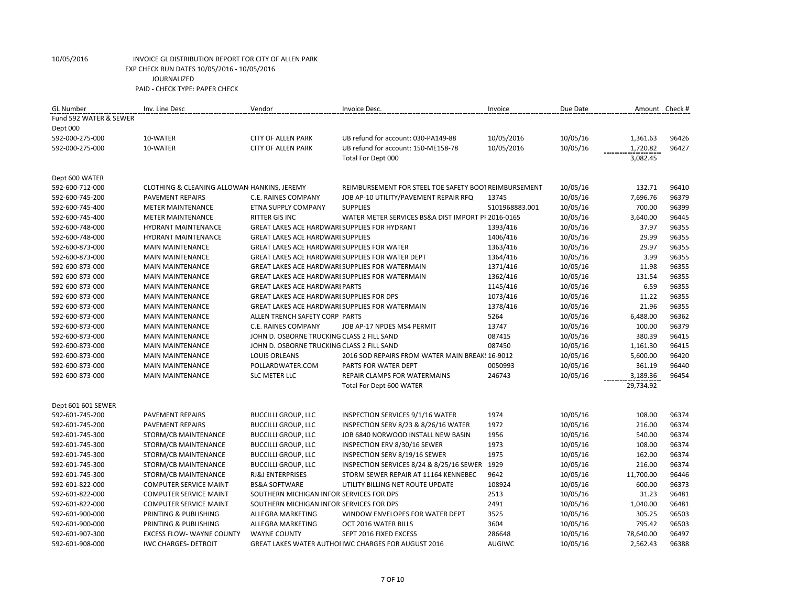| <b>GL Number</b>       | Inv. Line Desc                              | Vendor                                                 | Invoice Desc.                                         | Invoice         | Due Date |           | Amount Check # |
|------------------------|---------------------------------------------|--------------------------------------------------------|-------------------------------------------------------|-----------------|----------|-----------|----------------|
| Fund 592 WATER & SEWER |                                             |                                                        |                                                       |                 |          |           |                |
| Dept 000               |                                             |                                                        |                                                       |                 |          |           |                |
| 592-000-275-000        | 10-WATER                                    | <b>CITY OF ALLEN PARK</b>                              | UB refund for account: 030-PA149-88                   | 10/05/2016      | 10/05/16 | 1,361.63  | 96426          |
| 592-000-275-000        | 10-WATER                                    | <b>CITY OF ALLEN PARK</b>                              | UB refund for account: 150-ME158-78                   | 10/05/2016      | 10/05/16 | 1,720.82  | 96427          |
|                        |                                             |                                                        | Total For Dept 000                                    |                 |          | 3,082.45  |                |
| Dept 600 WATER         |                                             |                                                        |                                                       |                 |          |           |                |
| 592-600-712-000        | CLOTHING & CLEANING ALLOWAN HANKINS, JEREMY |                                                        | REIMBURSEMENT FOR STEEL TOE SAFETY BOOT REIMBURSEMENT |                 | 10/05/16 | 132.71    | 96410          |
| 592-600-745-200        | <b>PAVEMENT REPAIRS</b>                     | C.E. RAINES COMPANY                                    | JOB AP-10 UTILITY/PAVEMENT REPAIR RFQ                 | 13745           | 10/05/16 | 7,696.76  | 96379          |
| 592-600-745-400        | <b>METER MAINTENANCE</b>                    | <b>ETNA SUPPLY COMPANY</b>                             | <b>SUPPLIES</b>                                       | \$101968883.001 | 10/05/16 | 700.00    | 96399          |
| 592-600-745-400        | <b>METER MAINTENANCE</b>                    | RITTER GIS INC                                         | WATER METER SERVICES BS&A DIST IMPORT PF 2016-0165    |                 | 10/05/16 | 3,640.00  | 96445          |
| 592-600-748-000        | <b>HYDRANT MAINTENANCE</b>                  | GREAT LAKES ACE HARDWARI SUPPLIES FOR HYDRANT          |                                                       | 1393/416        | 10/05/16 | 37.97     | 96355          |
| 592-600-748-000        | <b>HYDRANT MAINTENANCE</b>                  | <b>GREAT LAKES ACE HARDWARI SUPPLIES</b>               |                                                       | 1406/416        | 10/05/16 | 29.99     | 96355          |
| 592-600-873-000        | <b>MAIN MAINTENANCE</b>                     | GREAT LAKES ACE HARDWARI SUPPLIES FOR WATER            |                                                       | 1363/416        | 10/05/16 | 29.97     | 96355          |
| 592-600-873-000        | <b>MAIN MAINTENANCE</b>                     | GREAT LAKES ACE HARDWARI SUPPLIES FOR WATER DEPT       |                                                       | 1364/416        | 10/05/16 | 3.99      | 96355          |
| 592-600-873-000        | <b>MAIN MAINTENANCE</b>                     | <b>GREAT LAKES ACE HARDWARI SUPPLIES FOR WATERMAIN</b> |                                                       | 1371/416        | 10/05/16 | 11.98     | 96355          |
| 592-600-873-000        | <b>MAIN MAINTENANCE</b>                     | GREAT LAKES ACE HARDWARI SUPPLIES FOR WATERMAIN        |                                                       | 1362/416        | 10/05/16 | 131.54    | 96355          |
| 592-600-873-000        | <b>MAIN MAINTENANCE</b>                     | <b>GREAT LAKES ACE HARDWARI PARTS</b>                  |                                                       | 1145/416        | 10/05/16 | 6.59      | 96355          |
| 592-600-873-000        | <b>MAIN MAINTENANCE</b>                     | <b>GREAT LAKES ACE HARDWARI SUPPLIES FOR DPS</b>       |                                                       | 1073/416        | 10/05/16 | 11.22     | 96355          |
| 592-600-873-000        | <b>MAIN MAINTENANCE</b>                     | GREAT LAKES ACE HARDWARI SUPPLIES FOR WATERMAIN        |                                                       | 1378/416        | 10/05/16 | 21.96     | 96355          |
| 592-600-873-000        | <b>MAIN MAINTENANCE</b>                     | ALLEN TRENCH SAFETY CORP PARTS                         |                                                       | 5264            | 10/05/16 | 6,488.00  | 96362          |
| 592-600-873-000        | <b>MAIN MAINTENANCE</b>                     | <b>C.E. RAINES COMPANY</b>                             | JOB AP-17 NPDES MS4 PERMIT                            | 13747           | 10/05/16 | 100.00    | 96379          |
| 592-600-873-000        | <b>MAIN MAINTENANCE</b>                     | JOHN D. OSBORNE TRUCKING CLASS 2 FILL SAND             |                                                       | 087415          | 10/05/16 | 380.39    | 96415          |
| 592-600-873-000        | <b>MAIN MAINTENANCE</b>                     | JOHN D. OSBORNE TRUCKING CLASS 2 FILL SAND             |                                                       | 087450          | 10/05/16 | 1,161.30  | 96415          |
| 592-600-873-000        | <b>MAIN MAINTENANCE</b>                     | <b>LOUIS ORLEANS</b>                                   | 2016 SOD REPAIRS FROM WATER MAIN BREAK! 16-9012       |                 | 10/05/16 | 5,600.00  | 96420          |
| 592-600-873-000        | <b>MAIN MAINTENANCE</b>                     | POLLARDWATER.COM                                       | PARTS FOR WATER DEPT                                  | 0050993         | 10/05/16 | 361.19    | 96440          |
| 592-600-873-000        | <b>MAIN MAINTENANCE</b>                     | <b>SLC METER LLC</b>                                   | <b>REPAIR CLAMPS FOR WATERMAINS</b>                   | 246743          | 10/05/16 | 3,189.36  | 96454          |
|                        |                                             |                                                        | Total For Dept 600 WATER                              |                 |          | 29,734.92 |                |
| Dept 601 601 SEWER     |                                             |                                                        |                                                       |                 |          |           |                |
| 592-601-745-200        | PAVEMENT REPAIRS                            | <b>BUCCILLI GROUP, LLC</b>                             | INSPECTION SERVICES 9/1/16 WATER                      | 1974            | 10/05/16 | 108.00    | 96374          |
| 592-601-745-200        | <b>PAVEMENT REPAIRS</b>                     | <b>BUCCILLI GROUP, LLC</b>                             | INSPECTION SERV 8/23 & 8/26/16 WATER                  | 1972            | 10/05/16 | 216.00    | 96374          |
| 592-601-745-300        | STORM/CB MAINTENANCE                        | <b>BUCCILLI GROUP, LLC</b>                             | JOB 6840 NORWOOD INSTALL NEW BASIN                    | 1956            | 10/05/16 | 540.00    | 96374          |
| 592-601-745-300        | STORM/CB MAINTENANCE                        | <b>BUCCILLI GROUP, LLC</b>                             | INSPECTION ERV 8/30/16 SEWER                          | 1973            | 10/05/16 | 108.00    | 96374          |
| 592-601-745-300        | STORM/CB MAINTENANCE                        | <b>BUCCILLI GROUP, LLC</b>                             | INSPECTION SERV 8/19/16 SEWER                         | 1975            | 10/05/16 | 162.00    | 96374          |
| 592-601-745-300        | STORM/CB MAINTENANCE                        | <b>BUCCILLI GROUP, LLC</b>                             | INSPECTION SERVICES 8/24 & 8/25/16 SEWER 1929         |                 | 10/05/16 | 216.00    | 96374          |
| 592-601-745-300        | STORM/CB MAINTENANCE                        | <b>RJ&amp;J ENTERPRISES</b>                            | STORM SEWER REPAIR AT 11164 KENNEBEC                  | 9642            | 10/05/16 | 11,700.00 | 96446          |
| 592-601-822-000        | <b>COMPUTER SERVICE MAINT</b>               | <b>BS&amp;A SOFTWARE</b>                               | UTILITY BILLING NET ROUTE UPDATE                      | 108924          | 10/05/16 | 600.00    | 96373          |
| 592-601-822-000        | <b>COMPUTER SERVICE MAINT</b>               | SOUTHERN MICHIGAN INFOR SERVICES FOR DPS               |                                                       | 2513            | 10/05/16 | 31.23     | 96481          |
| 592-601-822-000        | <b>COMPUTER SERVICE MAINT</b>               | SOUTHERN MICHIGAN INFOR SERVICES FOR DPS               |                                                       | 2491            | 10/05/16 | 1,040.00  | 96481          |
| 592-601-900-000        | PRINTING & PUBLISHING                       | ALLEGRA MARKETING                                      | WINDOW ENVELOPES FOR WATER DEPT                       | 3525            | 10/05/16 | 305.25    | 96503          |
| 592-601-900-000        | PRINTING & PUBLISHING                       | ALLEGRA MARKETING                                      | OCT 2016 WATER BILLS                                  | 3604            | 10/05/16 | 795.42    | 96503          |
| 592-601-907-300        | <b>EXCESS FLOW- WAYNE COUNTY</b>            | <b>WAYNE COUNTY</b>                                    | SEPT 2016 FIXED EXCESS                                | 286648          | 10/05/16 | 78,640.00 | 96497          |
| 592-601-908-000        | <b>IWC CHARGES- DETROIT</b>                 |                                                        | GREAT LAKES WATER AUTHOLIWC CHARGES FOR AUGUST 2016   | <b>AUGIWC</b>   | 10/05/16 | 2,562.43  | 96388          |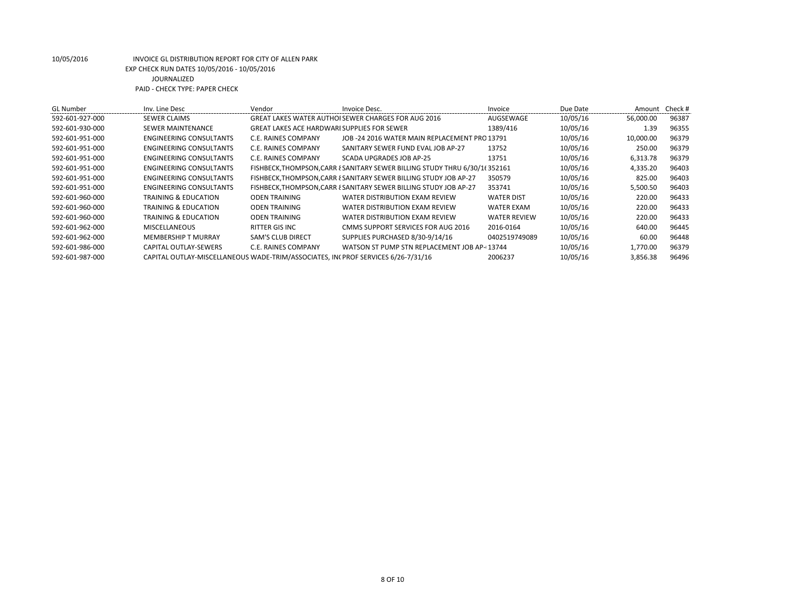| <b>GL</b> Number | Inv. Line Desc                                                                   | Vendor                                             | Invoice Desc.                                                              | Invoice             | Due Date | Amount Check # |       |
|------------------|----------------------------------------------------------------------------------|----------------------------------------------------|----------------------------------------------------------------------------|---------------------|----------|----------------|-------|
| 592-601-927-000  | <b>SEWER CLAIMS</b>                                                              |                                                    | GREAT LAKES WATER AUTHOLSEWER CHARGES FOR AUG 2016                         | AUGSEWAGE           | 10/05/16 | 56,000.00      | 96387 |
| 592-601-930-000  | SEWER MAINTENANCE                                                                | <b>GREAT LAKES ACE HARDWARI SUPPLIES FOR SEWER</b> |                                                                            | 1389/416            | 10/05/16 | 1.39           | 96355 |
| 592-601-951-000  | ENGINEERING CONSULTANTS                                                          | C.E. RAINES COMPANY                                | JOB -24 2016 WATER MAIN REPLACEMENT PRO 13791                              |                     | 10/05/16 | 10,000.00      | 96379 |
| 592-601-951-000  | ENGINEERING CONSULTANTS                                                          | C.E. RAINES COMPANY                                | SANITARY SEWER FUND EVAL JOB AP-27                                         | 13752               | 10/05/16 | 250.00         | 96379 |
| 592-601-951-000  | ENGINEERING CONSULTANTS                                                          | C.E. RAINES COMPANY                                | SCADA UPGRADES JOB AP-25                                                   | 13751               | 10/05/16 | 6,313.78       | 96379 |
| 592-601-951-000  | ENGINEERING CONSULTANTS                                                          |                                                    | FISHBECK, THOMPSON, CARR { SANITARY SEWER BILLING STUDY THRU 6/30/1(352161 |                     | 10/05/16 | 4,335.20       | 96403 |
| 592-601-951-000  | ENGINEERING CONSULTANTS                                                          |                                                    | FISHBECK, THOMPSON, CARR { SANITARY SEWER BILLING STUDY JOB AP-27          | 350579              | 10/05/16 | 825.00         | 96403 |
| 592-601-951-000  | ENGINEERING CONSULTANTS                                                          |                                                    | FISHBECK, THOMPSON, CARR & SANITARY SEWER BILLING STUDY JOB AP-27          | 353741              | 10/05/16 | 5,500.50       | 96403 |
| 592-601-960-000  | <b>TRAINING &amp; EDUCATION</b>                                                  | <b>ODEN TRAINING</b>                               | WATER DISTRIBUTION EXAM REVIEW                                             | <b>WATER DIST</b>   | 10/05/16 | 220.00         | 96433 |
| 592-601-960-000  | TRAINING & EDUCATION                                                             | <b>ODEN TRAINING</b>                               | WATER DISTRIBUTION EXAM REVIEW                                             | <b>WATER EXAM</b>   | 10/05/16 | 220.00         | 96433 |
| 592-601-960-000  | <b>TRAINING &amp; EDUCATION</b>                                                  | <b>ODEN TRAINING</b>                               | WATER DISTRIBUTION EXAM REVIEW                                             | <b>WATER REVIEW</b> | 10/05/16 | 220.00         | 96433 |
| 592-601-962-000  | <b>MISCELLANEOUS</b>                                                             | RITTER GIS INC                                     | CMMS SUPPORT SERVICES FOR AUG 2016                                         | 2016-0164           | 10/05/16 | 640.00         | 96445 |
| 592-601-962-000  | <b>MEMBERSHIP T MURRAY</b>                                                       | <b>SAM'S CLUB DIRECT</b>                           | SUPPLIES PURCHASED 8/30-9/14/16                                            | 0402519749089       | 10/05/16 | 60.00          | 96448 |
| 592-601-986-000  | <b>CAPITAL OUTLAY-SEWERS</b>                                                     | C.E. RAINES COMPANY                                | WATSON ST PUMP STN REPLACEMENT JOB AP-13744                                |                     | 10/05/16 | 1,770.00       | 96379 |
| 592-601-987-000  | CAPITAL OUTLAY-MISCELLANEOUS WADE-TRIM/ASSOCIATES. IN PROF SERVICES 6/26-7/31/16 |                                                    |                                                                            | 2006237             | 10/05/16 | 3,856.38       | 96496 |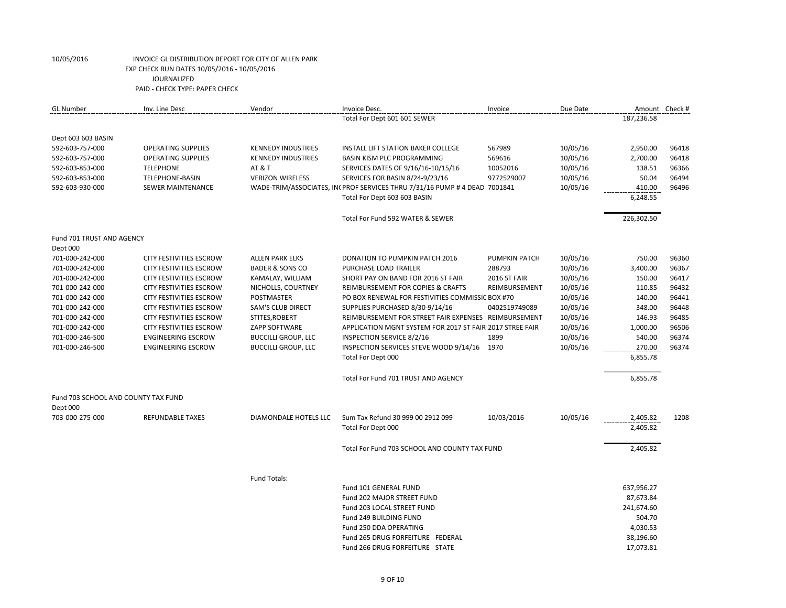| <b>GL Number</b>                    | Inv. Line Desc                                            | Vendor                                         | Invoice Desc.                                                             | Invoice                | Due Date             | Amount Check #     |                |
|-------------------------------------|-----------------------------------------------------------|------------------------------------------------|---------------------------------------------------------------------------|------------------------|----------------------|--------------------|----------------|
|                                     |                                                           |                                                | Total For Dept 601 601 SEWER                                              |                        |                      | 187,236.58         |                |
| Dept 603 603 BASIN                  |                                                           |                                                |                                                                           |                        |                      |                    |                |
| 592-603-757-000                     | <b>OPERATING SUPPLIES</b>                                 | <b>KENNEDY INDUSTRIES</b>                      | INSTALL LIFT STATION BAKER COLLEGE                                        | 567989                 | 10/05/16             | 2,950.00           | 96418          |
| 592-603-757-000                     | <b>OPERATING SUPPLIES</b>                                 | <b>KENNEDY INDUSTRIES</b>                      | <b>BASIN KISM PLC PROGRAMMING</b>                                         | 569616                 | 10/05/16             | 2,700.00           | 96418          |
| 592-603-853-000                     | <b>TELEPHONE</b>                                          | <b>AT &amp; T</b>                              | SERVICES DATES OF 9/16/16-10/15/16                                        | 10052016               | 10/05/16             | 138.51             | 96366          |
| 592-603-853-000                     | <b>TELEPHONE-BASIN</b>                                    | <b>VERIZON WIRELESS</b>                        | SERVICES FOR BASIN 8/24-9/23/16                                           | 9772529007             | 10/05/16             | 50.04              | 96494          |
| 592-603-930-000                     | SEWER MAINTENANCE                                         |                                                | WADE-TRIM/ASSOCIATES, IN(PROF SERVICES THRU 7/31/16 PUMP # 4 DEAD 7001841 |                        | 10/05/16             | 410.00             | 96496          |
|                                     |                                                           |                                                | Total For Dept 603 603 BASIN                                              |                        |                      | 6,248.55           |                |
|                                     |                                                           |                                                | Total For Fund 592 WATER & SEWER                                          |                        |                      | 226,302.50         |                |
| Fund 701 TRUST AND AGENCY           |                                                           |                                                |                                                                           |                        |                      |                    |                |
| Dept 000                            |                                                           |                                                |                                                                           |                        |                      |                    |                |
| 701-000-242-000                     | <b>CITY FESTIVITIES ESCROW</b>                            | <b>ALLEN PARK ELKS</b>                         | DONATION TO PUMPKIN PATCH 2016                                            | PUMPKIN PATCH          | 10/05/16             | 750.00             | 96360          |
| 701-000-242-000<br>701-000-242-000  | <b>CITY FESTIVITIES ESCROW</b><br>CITY FESTIVITIES ESCROW | <b>BADER &amp; SONS CO</b><br>KAMALAY, WILLIAM | PURCHASE LOAD TRAILER<br>SHORT PAY ON BAND FOR 2016 ST FAIR               | 288793<br>2016 ST FAIR | 10/05/16<br>10/05/16 | 3,400.00<br>150.00 | 96367<br>96417 |
| 701-000-242-000                     | CITY FESTIVITIES ESCROW                                   | NICHOLLS, COURTNEY                             | REIMBURSEMENT FOR COPIES & CRAFTS                                         | REIMBURSEMENT          | 10/05/16             | 110.85             | 96432          |
| 701-000-242-000                     | CITY FESTIVITIES ESCROW                                   | POSTMASTER                                     | PO BOX RENEWAL FOR FESTIVITIES COMMISSIC BOX #70                          |                        | 10/05/16             | 140.00             | 96441          |
| 701-000-242-000                     | <b>CITY FESTIVITIES ESCROW</b>                            | SAM'S CLUB DIRECT                              | SUPPLIES PURCHASED 8/30-9/14/16                                           | 0402519749089          | 10/05/16             | 348.00             | 96448          |
| 701-000-242-000                     | <b>CITY FESTIVITIES ESCROW</b>                            | STITES, ROBERT                                 | REIMBURSEMENT FOR STREET FAIR EXPENSES REIMBURSEMENT                      |                        | 10/05/16             | 146.93             | 96485          |
| 701-000-242-000                     | CITY FESTIVITIES ESCROW                                   | ZAPP SOFTWARE                                  | APPLICATION MGNT SYSTEM FOR 2017 ST FAIR 2017 STREE FAIR                  |                        | 10/05/16             | 1,000.00           | 96506          |
| 701-000-246-500                     | <b>ENGINEERING ESCROW</b>                                 | <b>BUCCILLI GROUP, LLC</b>                     | INSPECTION SERVICE 8/2/16                                                 | 1899                   | 10/05/16             | 540.00             | 96374          |
| 701-000-246-500                     | <b>ENGINEERING ESCROW</b>                                 | <b>BUCCILLI GROUP, LLC</b>                     | INSPECTION SERVICES STEVE WOOD 9/14/16 1970                               |                        | 10/05/16             | 270.00             | 96374          |
|                                     |                                                           |                                                | Total For Dept 000                                                        |                        |                      | 6,855.78           |                |
|                                     |                                                           |                                                | Total For Fund 701 TRUST AND AGENCY                                       |                        |                      | 6,855.78           |                |
| Fund 703 SCHOOL AND COUNTY TAX FUND |                                                           |                                                |                                                                           |                        |                      |                    |                |
| Dept 000                            |                                                           |                                                |                                                                           |                        |                      |                    |                |
| 703-000-275-000                     | <b>REFUNDABLE TAXES</b>                                   | DIAMONDALE HOTELS LLC                          | Sum Tax Refund 30 999 00 2912 099                                         | 10/03/2016             | 10/05/16             | 2,405.82           | 1208           |
|                                     |                                                           |                                                | Total For Dept 000                                                        |                        |                      | 2,405.82           |                |
|                                     |                                                           |                                                | Total For Fund 703 SCHOOL AND COUNTY TAX FUND                             |                        |                      | 2,405.82           |                |
|                                     |                                                           | Fund Totals:                                   |                                                                           |                        |                      |                    |                |
|                                     |                                                           |                                                | Fund 101 GENERAL FUND                                                     |                        |                      | 637,956.27         |                |
|                                     |                                                           |                                                | Fund 202 MAJOR STREET FUND                                                |                        |                      | 87,673.84          |                |
|                                     |                                                           |                                                | Fund 203 LOCAL STREET FUND                                                |                        |                      | 241,674.60         |                |
|                                     |                                                           |                                                | Fund 249 BUILDING FUND                                                    |                        |                      | 504.70             |                |
|                                     |                                                           |                                                | Fund 250 DDA OPERATING                                                    |                        |                      | 4,030.53           |                |
|                                     |                                                           |                                                | Fund 265 DRUG FORFEITURE - FEDERAL                                        |                        |                      | 38,196.60          |                |
|                                     |                                                           |                                                | Fund 266 DRUG FORFEITURE - STATE                                          |                        |                      | 17,073.81          |                |